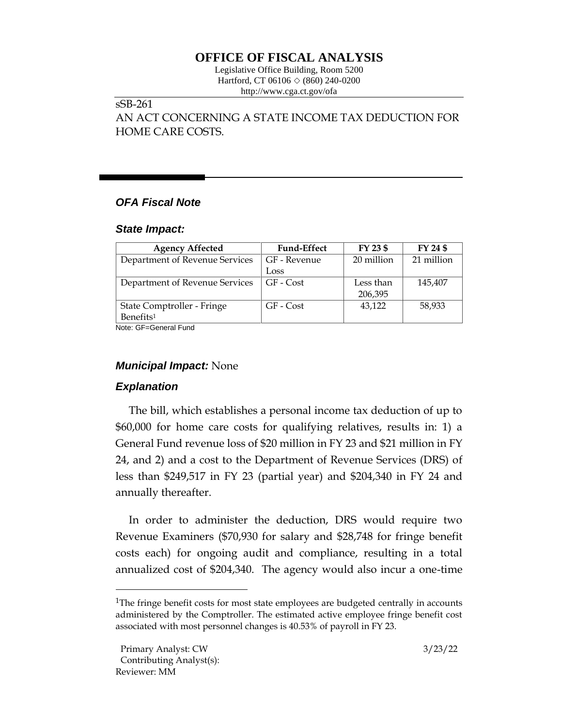# **OFFICE OF FISCAL ANALYSIS**

Legislative Office Building, Room 5200 Hartford, CT 06106  $\Diamond$  (860) 240-0200 http://www.cga.ct.gov/ofa

#### sSB-261

AN ACT CONCERNING A STATE INCOME TAX DEDUCTION FOR HOME CARE COSTS.

# *OFA Fiscal Note*

#### *State Impact:*

| <b>Agency Affected</b>         | <b>Fund-Effect</b> | FY 23 \$   | FY 24 \$   |
|--------------------------------|--------------------|------------|------------|
| Department of Revenue Services | GF - Revenue       | 20 million | 21 million |
|                                | Loss               |            |            |
| Department of Revenue Services | GF - Cost          | Less than  | 145,407    |
|                                |                    | 206,395    |            |
| State Comptroller - Fringe     | GF - Cost          | 43.122     | 58,933     |
| Benefits <sup>1</sup>          |                    |            |            |

Note: GF=General Fund

## *Municipal Impact:* None

## *Explanation*

The bill, which establishes a personal income tax deduction of up to \$60,000 for home care costs for qualifying relatives, results in: 1) a General Fund revenue loss of \$20 million in FY 23 and \$21 million in FY 24, and 2) and a cost to the Department of Revenue Services (DRS) of less than \$249,517 in FY 23 (partial year) and \$204,340 in FY 24 and annually thereafter.

In order to administer the deduction, DRS would require two Revenue Examiners (\$70,930 for salary and \$28,748 for fringe benefit costs each) for ongoing audit and compliance, resulting in a total annualized cost of \$204,340. The agency would also incur a one-time

<sup>&</sup>lt;sup>1</sup>The fringe benefit costs for most state employees are budgeted centrally in accounts administered by the Comptroller. The estimated active employee fringe benefit cost associated with most personnel changes is 40.53% of payroll in FY 23.